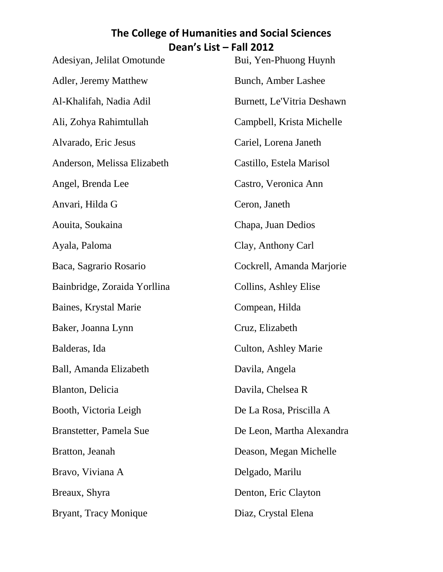| Adesiyan, Jelilat Omotunde   | Bui, Yen-Phuong Huynh       |
|------------------------------|-----------------------------|
| Adler, Jeremy Matthew        | <b>Bunch, Amber Lashee</b>  |
| Al-Khalifah, Nadia Adil      | Burnett, Le'Vitria Deshawn  |
| Ali, Zohya Rahimtullah       | Campbell, Krista Michelle   |
| Alvarado, Eric Jesus         | Cariel, Lorena Janeth       |
| Anderson, Melissa Elizabeth  | Castillo, Estela Marisol    |
| Angel, Brenda Lee            | Castro, Veronica Ann        |
| Anvari, Hilda G              | Ceron, Janeth               |
| Aouita, Soukaina             | Chapa, Juan Dedios          |
| Ayala, Paloma                | Clay, Anthony Carl          |
| Baca, Sagrario Rosario       | Cockrell, Amanda Marjorie   |
| Bainbridge, Zoraida Yorllina | Collins, Ashley Elise       |
| Baines, Krystal Marie        | Compean, Hilda              |
| Baker, Joanna Lynn           | Cruz, Elizabeth             |
| Balderas, Ida                | <b>Culton, Ashley Marie</b> |
| Ball, Amanda Elizabeth       | Davila, Angela              |
| Blanton, Delicia             | Davila, Chelsea R           |
| Booth, Victoria Leigh        | De La Rosa, Priscilla A     |
| Branstetter, Pamela Sue      | De Leon, Martha Alexandra   |
| Bratton, Jeanah              | Deason, Megan Michelle      |
| Bravo, Viviana A             | Delgado, Marilu             |
| Breaux, Shyra                | Denton, Eric Clayton        |
| Bryant, Tracy Monique        | Diaz, Crystal Elena         |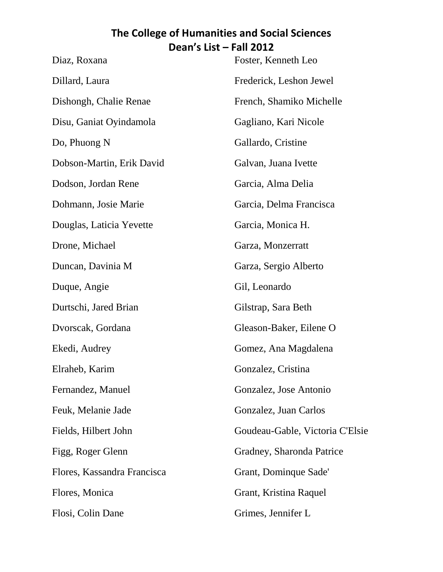| Foster, Kenneth Leo             |
|---------------------------------|
| Frederick, Leshon Jewel         |
| French, Shamiko Michelle        |
| Gagliano, Kari Nicole           |
| Gallardo, Cristine              |
| Galvan, Juana Ivette            |
| Garcia, Alma Delia              |
| Garcia, Delma Francisca         |
| Garcia, Monica H.               |
| Garza, Monzerratt               |
| Garza, Sergio Alberto           |
| Gil, Leonardo                   |
| Gilstrap, Sara Beth             |
| Gleason-Baker, Eilene O         |
| Gomez, Ana Magdalena            |
| Gonzalez, Cristina              |
| Gonzalez, Jose Antonio          |
| Gonzalez, Juan Carlos           |
| Goudeau-Gable, Victoria C'Elsie |
| Gradney, Sharonda Patrice       |
| Grant, Dominque Sade'           |
| Grant, Kristina Raquel          |
| Grimes, Jennifer L              |
|                                 |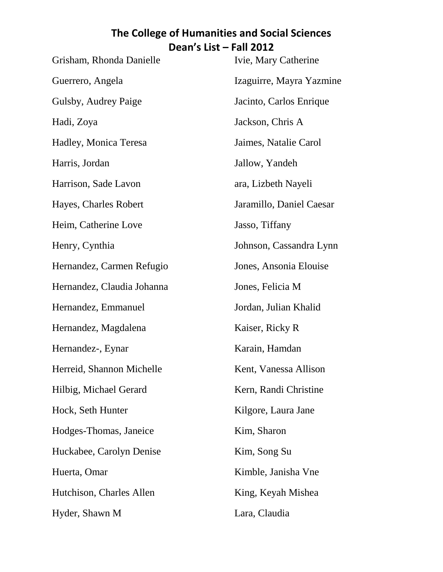| Grisham, Rhonda Danielle   | Ivie, Mary Catherine     |
|----------------------------|--------------------------|
| Guerrero, Angela           | Izaguirre, Mayra Yazmine |
| Gulsby, Audrey Paige       | Jacinto, Carlos Enrique  |
| Hadi, Zoya                 | Jackson, Chris A         |
| Hadley, Monica Teresa      | Jaimes, Natalie Carol    |
| Harris, Jordan             | Jallow, Yandeh           |
| Harrison, Sade Lavon       | ara, Lizbeth Nayeli      |
| Hayes, Charles Robert      | Jaramillo, Daniel Caesar |
| Heim, Catherine Love       | Jasso, Tiffany           |
| Henry, Cynthia             | Johnson, Cassandra Lynn  |
| Hernandez, Carmen Refugio  | Jones, Ansonia Elouise   |
| Hernandez, Claudia Johanna | Jones, Felicia M         |
| Hernandez, Emmanuel        | Jordan, Julian Khalid    |
| Hernandez, Magdalena       | Kaiser, Ricky R          |
| Hernandez-, Eynar          | Karain, Hamdan           |
| Herreid, Shannon Michelle  | Kent, Vanessa Allison    |
| Hilbig, Michael Gerard     | Kern, Randi Christine    |
| Hock, Seth Hunter          | Kilgore, Laura Jane      |
| Hodges-Thomas, Janeice     | Kim, Sharon              |
| Huckabee, Carolyn Denise   | Kim, Song Su             |
| Huerta, Omar               | Kimble, Janisha Vne      |
| Hutchison, Charles Allen   | King, Keyah Mishea       |
| Hyder, Shawn M             | Lara, Claudia            |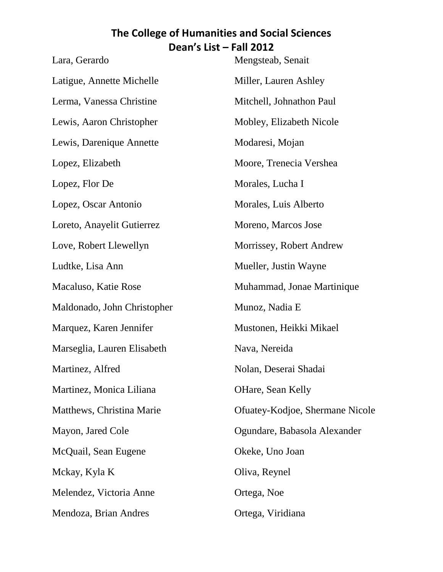| Lara, Gerardo               | Mengsteab, Senait               |
|-----------------------------|---------------------------------|
| Latigue, Annette Michelle   | Miller, Lauren Ashley           |
| Lerma, Vanessa Christine    | Mitchell, Johnathon Paul        |
| Lewis, Aaron Christopher    | Mobley, Elizabeth Nicole        |
| Lewis, Darenique Annette    | Modaresi, Mojan                 |
| Lopez, Elizabeth            | Moore, Trenecia Vershea         |
| Lopez, Flor De              | Morales, Lucha I                |
| Lopez, Oscar Antonio        | Morales, Luis Alberto           |
| Loreto, Anayelit Gutierrez  | Moreno, Marcos Jose             |
| Love, Robert Llewellyn      | Morrissey, Robert Andrew        |
| Ludtke, Lisa Ann            | Mueller, Justin Wayne           |
| Macaluso, Katie Rose        | Muhammad, Jonae Martinique      |
| Maldonado, John Christopher | Munoz, Nadia E                  |
| Marquez, Karen Jennifer     | Mustonen, Heikki Mikael         |
| Marseglia, Lauren Elisabeth | Nava, Nereida                   |
| Martinez, Alfred            | Nolan, Deserai Shadai           |
| Martinez, Monica Liliana    | OHare, Sean Kelly               |
| Matthews, Christina Marie   | Ofuatey-Kodjoe, Shermane Nicole |
| Mayon, Jared Cole           | Ogundare, Babasola Alexander    |
| McQuail, Sean Eugene        | Okeke, Uno Joan                 |
| Mckay, Kyla K               | Oliva, Reynel                   |
| Melendez, Victoria Anne     | Ortega, Noe                     |
| Mendoza, Brian Andres       | Ortega, Viridiana               |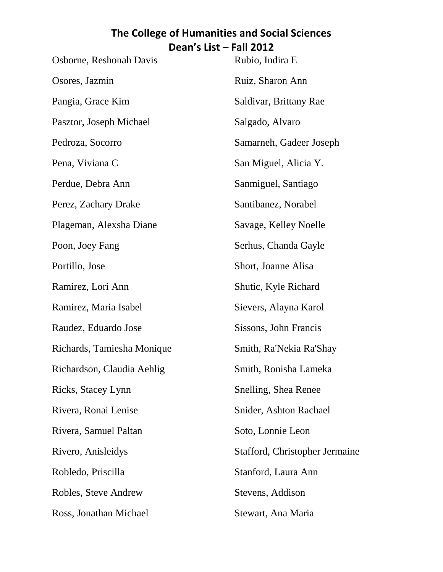| Osborne, Reshonah Davis    | Rubio, Indira E                |
|----------------------------|--------------------------------|
| Osores, Jazmin             | Ruiz, Sharon Ann               |
| Pangia, Grace Kim          | Saldivar, Brittany Rae         |
| Pasztor, Joseph Michael    | Salgado, Alvaro                |
| Pedroza, Socorro           | Samarneh, Gadeer Joseph        |
| Pena, Viviana C            | San Miguel, Alicia Y.          |
| Perdue, Debra Ann          | Sanmiguel, Santiago            |
| Perez, Zachary Drake       | Santibanez, Norabel            |
| Plageman, Alexsha Diane    | Savage, Kelley Noelle          |
| Poon, Joey Fang            | Serhus, Chanda Gayle           |
| Portillo, Jose             | Short, Joanne Alisa            |
| Ramirez, Lori Ann          | Shutic, Kyle Richard           |
| Ramirez, Maria Isabel      | Sievers, Alayna Karol          |
| Raudez, Eduardo Jose       | Sissons, John Francis          |
| Richards, Tamiesha Monique | Smith, Ra'Nekia Ra'Shay        |
| Richardson, Claudia Aehlig | Smith, Ronisha Lameka          |
| Ricks, Stacey Lynn         | Snelling, Shea Renee           |
| Rivera, Ronai Lenise       | Snider, Ashton Rachael         |
| Rivera, Samuel Paltan      | Soto, Lonnie Leon              |
| Rivero, Anisleidys         | Stafford, Christopher Jermaine |
| Robledo, Priscilla         | Stanford, Laura Ann            |
| Robles, Steve Andrew       | Stevens, Addison               |
| Ross, Jonathan Michael     | Stewart, Ana Maria             |